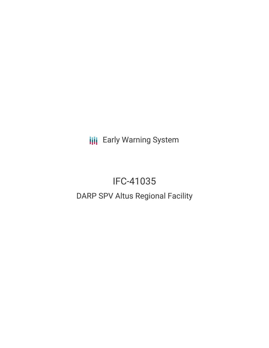**III** Early Warning System

# IFC-41035 DARP SPV Altus Regional Facility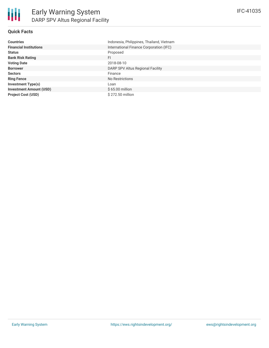# **Quick Facts**

| <b>Countries</b>               | Indonesia, Philippines, Thailand, Vietnam |
|--------------------------------|-------------------------------------------|
| <b>Financial Institutions</b>  | International Finance Corporation (IFC)   |
| <b>Status</b>                  | Proposed                                  |
| <b>Bank Risk Rating</b>        | FI                                        |
| <b>Voting Date</b>             | 2018-08-10                                |
| <b>Borrower</b>                | DARP SPV Altus Regional Facility          |
| <b>Sectors</b>                 | Finance                                   |
| <b>Ring Fence</b>              | No Restrictions                           |
| <b>Investment Type(s)</b>      | Loan                                      |
| <b>Investment Amount (USD)</b> | $$65.00$ million                          |
| <b>Project Cost (USD)</b>      | $$272.50$ million                         |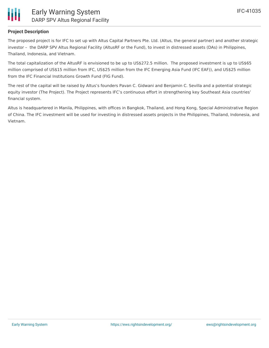

### **Project Description**

The proposed project is for IFC to set up with Altus Capital Partners Pte. Ltd. (Altus, the general partner) and another strategic investor – the DARP SPV Altus Regional Facility (AltusRF or the Fund), to invest in distressed assets (DAs) in Philippines, Thailand, Indonesia, and Vietnam.

The total capitalization of the AltusRF is envisioned to be up to US\$272.5 million. The proposed investment is up to US\$65 million comprised of US\$15 million from IFC, US\$25 million from the IFC Emerging Asia Fund (IFC EAF)), and US\$25 million from the IFC Financial Institutions Growth Fund (FIG Fund).

The rest of the capital will be raised by Altus's founders Pavan C. Gidwani and Benjamin C. Sevilla and a potential strategic equity investor (The Project). The Project represents IFC's continuous effort in strengthening key Southeast Asia countries' financial system.

Altus is headquartered in Manila, Philippines, with offices in Bangkok, Thailand, and Hong Kong, Special Administrative Region of China. The IFC investment will be used for investing in distressed assets projects in the Philippines, Thailand, Indonesia, and Vietnam.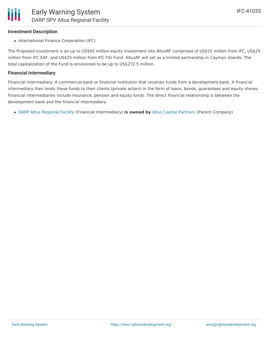## **Investment Description**

• International Finance Corporation (IFC)

The Proposed investment is an up to US\$65 million equity investment into AltusRF comprised of US\$15 million from IFC, US\$25 million from IFC EAF, and US\$25 million from IFC FIG Fund. AltusRF will set as a limited partnership in Cayman Islands. The total capitalization of the Fund is envisioned to be up to US\$272.5 million.

#### **Financial Intermediary**

Financial Intermediary: A commercial bank or financial institution that receives funds from a development bank. A financial intermediary then lends these funds to their clients (private actors) in the form of loans, bonds, guarantees and equity shares. Financial intermediaries include insurance, pension and equity funds. The direct financial relationship is between the development bank and the financial intermediary.

DARP Altus [Regional](file:///actor/4016/) Facility (Financial Intermediary) **is owned by** Altus Capital [Partners](file:///actor/3941/) (Parent Company)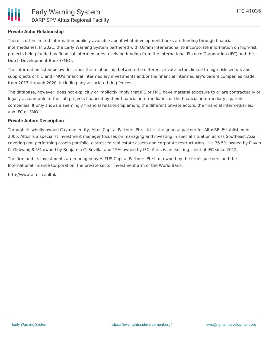## **Private Actor Relationship**

There is often limited information publicly available about what development banks are funding through financial intermediaries. In 2021, the Early Warning System partnered with Oxfam International to incorporate information on high-risk projects being funded by financial intermediaries receiving funding from the International Finance Corporation (IFC) and the Dutch Development Bank (FMO).

The information listed below describes the relationship between the different private actors linked to high-risk sectors and subprojects of IFC and FMO's financial intermediary investments and/or the financial intermediary's parent companies made from 2017 through 2020, including any associated ring fences.

The database, however, does not explicitly or implicitly imply that IFC or FMO have material exposure to or are contractually or legally accountable to the sub-projects financed by their financial intermediaries or the financial intermediary's parent companies. It only shows a seemingly financial relationship among the different private actors, the financial intermediaries, and IFC or FMO.

#### **Private Actors Description**

Through its wholly-owned Cayman entity, Altus Capital Partners Pte. Ltd. is the general partner for AltusRF. Established in 2005, Altus is a specialist investment manager focuses on managing and investing in special situation across Southeast Asia, covering non-performing assets portfolio, distressed real estate assets and corporate restructuring. It is 76.5% owned by Pavan C. Gidwani, 8.5% owned by Benjamin C. Sevilla, and 15% owned by IFC. Altus is an existing client of IFC since 2012.

The firm and its investments are managed by ALTUS Capital Partners Pte Ltd, owned by the firm's partners and the International Finance Corporation, the private sector investment arm of the World Bank.

http://www.altus.capital/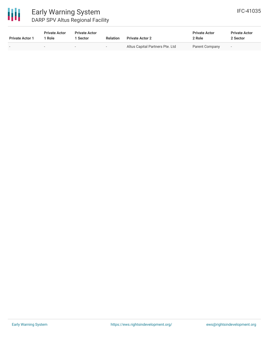

# Early Warning System DARP SPV Altus Regional Facility

| <b>Private Actor 1</b> | <b>Private Actor</b><br>1 Role | <b>Private Actor</b><br>Sector | <b>Relation</b> | <b>Private Actor 2</b>          | <b>Private Actor</b><br>2 Role | <b>Private Actor</b><br>2 Sector |
|------------------------|--------------------------------|--------------------------------|-----------------|---------------------------------|--------------------------------|----------------------------------|
|                        | $\sim$                         |                                |                 | Altus Capital Partners Pte. Ltd | Parent Company                 | $\overline{\phantom{a}}$         |